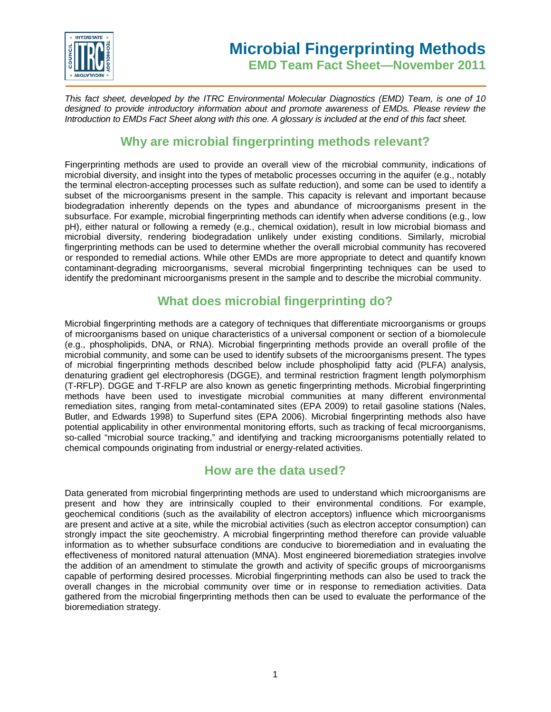

*This fact sheet, developed by the ITRC Environmental Molecular Diagnostics (EMD) Team, is one of 10*  designed to provide introductory information about and promote awareness of EMDs. Please review the *Introduction to EMDs Fact Sheet along with this one. A glossary is included at the end of this fact sheet.*

## **Why are microbial fingerprinting methods relevant?**

Fingerprinting methods are used to provide an overall view of the microbial community, indications of microbial diversity, and insight into the types of metabolic processes occurring in the aquifer (e.g., notably the terminal electron-accepting processes such as sulfate reduction), and some can be used to identify a subset of the microorganisms present in the sample. This capacity is relevant and important because biodegradation inherently depends on the types and abundance of microorganisms present in the subsurface. For example, microbial fingerprinting methods can identify when adverse conditions (e.g., low pH), either natural or following a remedy (e.g., chemical oxidation), result in low microbial biomass and microbial diversity, rendering biodegradation unlikely under existing conditions. Similarly, microbial fingerprinting methods can be used to determine whether the overall microbial community has recovered or responded to remedial actions. While other EMDs are more appropriate to detect and quantify known contaminant-degrading microorganisms, several microbial fingerprinting techniques can be used to identify the predominant microorganisms present in the sample and to describe the microbial community.

## **What does microbial fingerprinting do?**

Microbial fingerprinting methods are a category of techniques that differentiate microorganisms or groups of microorganisms based on unique characteristics of a universal component or section of a biomolecule (e.g., phospholipids, DNA, or RNA). Microbial fingerprinting methods provide an overall profile of the microbial community, and some can be used to identify subsets of the microorganisms present. The types of microbial fingerprinting methods described below include phospholipid fatty acid (PLFA) analysis, denaturing gradient gel electrophoresis (DGGE), and terminal restriction fragment length polymorphism (T-RFLP). DGGE and T-RFLP are also known as genetic fingerprinting methods. Microbial fingerprinting methods have been used to investigate microbial communities at many different environmental remediation sites, ranging from metal-contaminated sites (EPA 2009) to retail gasoline stations (Nales, Butler, and Edwards 1998) to Superfund sites (EPA 2006). Microbial fingerprinting methods also have potential applicability in other environmental monitoring efforts, such as tracking of fecal microorganisms, so-called "microbial source tracking," and identifying and tracking microorganisms potentially related to chemical compounds originating from industrial or energy-related activities.

## **How are the data used?**

Data generated from microbial fingerprinting methods are used to understand which microorganisms are present and how they are intrinsically coupled to their environmental conditions. For example, geochemical conditions (such as the availability of electron acceptors) influence which microorganisms are present and active at a site, while the microbial activities (such as electron acceptor consumption) can strongly impact the site geochemistry. A microbial fingerprinting method therefore can provide valuable information as to whether subsurface conditions are conducive to bioremediation and in evaluating the effectiveness of monitored natural attenuation (MNA). Most engineered bioremediation strategies involve the addition of an amendment to stimulate the growth and activity of specific groups of microorganisms capable of performing desired processes. Microbial fingerprinting methods can also be used to track the overall changes in the microbial community over time or in response to remediation activities. Data gathered from the microbial fingerprinting methods then can be used to evaluate the performance of the bioremediation strategy.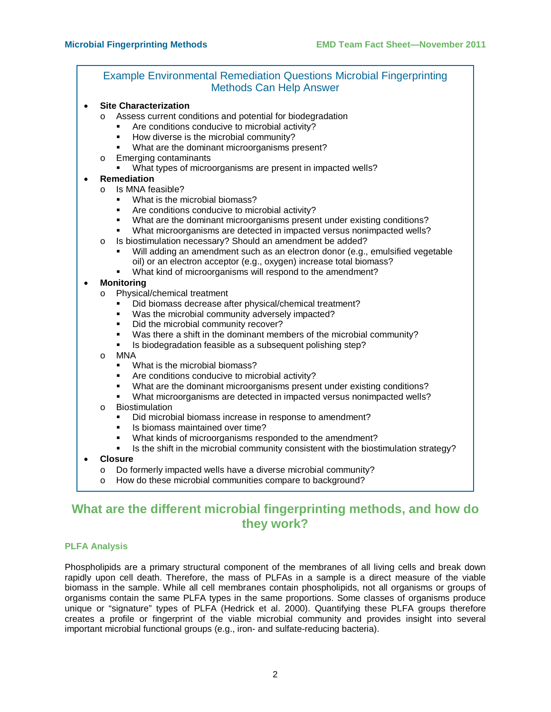### Example Environmental Remediation Questions Microbial Fingerprinting Methods Can Help Answer

- **Site Characterization**
	- o Assess current conditions and potential for biodegradation
		- Are conditions conducive to microbial activity?
		- How diverse is the microbial community?
		- What are the dominant microorganisms present?
	- o Emerging contaminants
		- What types of microorganisms are present in impacted wells?
- **Remediation**
	- o Is MNA feasible?
		- What is the microbial biomass?
		- Are conditions conducive to microbial activity?
		- What are the dominant microorganisms present under existing conditions?
		- What microorganisms are detected in impacted versus nonimpacted wells?
	- o Is biostimulation necessary? Should an amendment be added?
		- Will adding an amendment such as an electron donor (e.g., emulsified vegetable oil) or an electron acceptor (e.g., oxygen) increase total biomass?
		- What kind of microorganisms will respond to the amendment?

### • **Monitoring**

- o Physical/chemical treatment
	- Did biomass decrease after physical/chemical treatment?
	- Was the microbial community adversely impacted?
	- Did the microbial community recover?
	- Was there a shift in the dominant members of the microbial community?
	- **IF** Is biodegradation feasible as a subsequent polishing step?
- o MNA
	- What is the microbial biomass?
	- Are conditions conducive to microbial activity?
	- What are the dominant microorganisms present under existing conditions?
	- What microorganisms are detected in impacted versus nonimpacted wells?
- o Biostimulation
	- Did microbial biomass increase in response to amendment?
	- Is biomass maintained over time?
	- What kinds of microorganisms responded to the amendment?
	- Is the shift in the microbial community consistent with the biostimulation strategy?
- **Closure**
	- o Do formerly impacted wells have a diverse microbial community?
	- o How do these microbial communities compare to background?

## **What are the different microbial fingerprinting methods, and how do they work?**

### **PLFA Analysis**

Phospholipids are a primary structural component of the membranes of all living cells and break down rapidly upon cell death. Therefore, the mass of PLFAs in a sample is a direct measure of the viable biomass in the sample. While all cell membranes contain phospholipids, not all organisms or groups of organisms contain the same PLFA types in the same proportions. Some classes of organisms produce unique or "signature" types of PLFA (Hedrick et al. 2000). Quantifying these PLFA groups therefore creates a profile or fingerprint of the viable microbial community and provides insight into several important microbial functional groups (e.g., iron- and sulfate-reducing bacteria).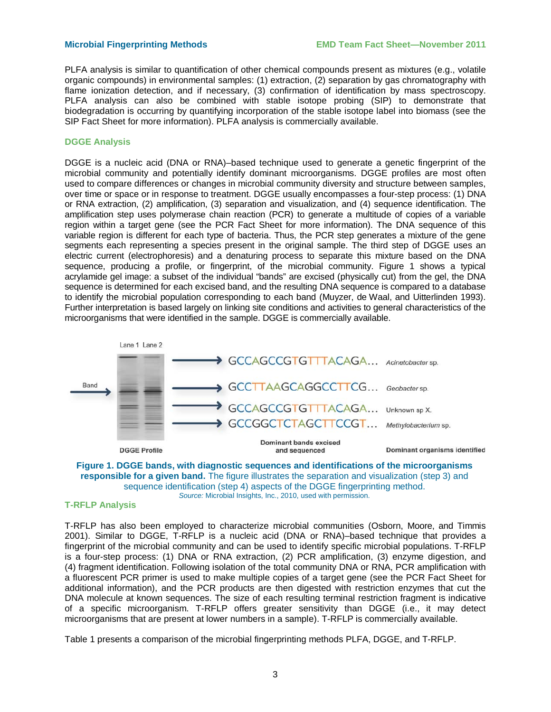PLFA analysis is similar to quantification of other chemical compounds present as mixtures (e.g., volatile organic compounds) in environmental samples: (1) extraction, (2) separation by gas chromatography with flame ionization detection, and if necessary, (3) confirmation of identification by mass spectroscopy. PLFA analysis can also be combined with stable isotope probing (SIP) to demonstrate that biodegradation is occurring by quantifying incorporation of the stable isotope label into biomass (see the SIP Fact Sheet for more information). PLFA analysis is commercially available.

### **DGGE Analysis**

DGGE is a nucleic acid (DNA or RNA)–based technique used to generate a genetic fingerprint of the microbial community and potentially identify dominant microorganisms. DGGE profiles are most often used to compare differences or changes in microbial community diversity and structure between samples, over time or space or in response to treatment. DGGE usually encompasses a four-step process: (1) DNA or RNA extraction, (2) amplification, (3) separation and visualization, and (4) sequence identification. The amplification step uses polymerase chain reaction (PCR) to generate a multitude of copies of a variable region within a target gene (see the PCR Fact Sheet for more information). The DNA sequence of this variable region is different for each type of bacteria. Thus, the PCR step generates a mixture of the gene segments each representing a species present in the original sample. The third step of DGGE uses an electric current (electrophoresis) and a denaturing process to separate this mixture based on the DNA sequence, producing a profile, or fingerprint, of the microbial community. Figure 1 shows a typical acrylamide gel image: a subset of the individual "bands" are excised (physically cut) from the gel, the DNA sequence is determined for each excised band, and the resulting DNA sequence is compared to a database to identify the microbial population corresponding to each band (Muyzer, de Waal, and Uitterlinden 1993). Further interpretation is based largely on linking site conditions and activities to general characteristics of the microorganisms that were identified in the sample. DGGE is commercially available.





### **T-RFLP Analysis**

T-RFLP has also been employed to characterize microbial communities (Osborn, Moore, and Timmis 2001). Similar to DGGE, T-RFLP is a nucleic acid (DNA or RNA)–based technique that provides a fingerprint of the microbial community and can be used to identify specific microbial populations. T-RFLP is a four-step process: (1) DNA or RNA extraction, (2) PCR amplification, (3) enzyme digestion, and (4) fragment identification. Following isolation of the total community DNA or RNA, PCR amplification with a fluorescent PCR primer is used to make multiple copies of a target gene (see the PCR Fact Sheet for additional information), and the PCR products are then digested with restriction enzymes that cut the DNA molecule at known sequences. The size of each resulting terminal restriction fragment is indicative of a specific microorganism. T-RFLP offers greater sensitivity than DGGE (i.e., it may detect microorganisms that are present at lower numbers in a sample). T-RFLP is commercially available.

Table 1 presents a comparison of the microbial fingerprinting methods PLFA, DGGE, and T-RFLP.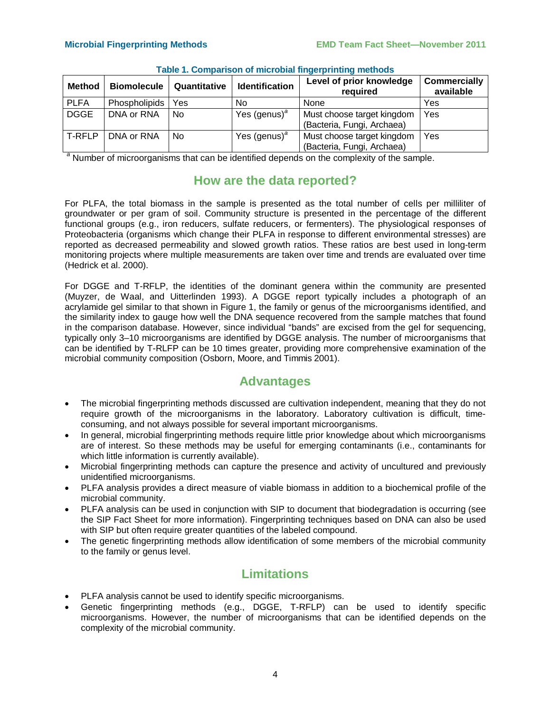| <b>Method</b> | <b>Biomolecule</b> | Quantitative | <b>Identification</b> | Level of prior knowledge<br>reauired                     | <b>Commercially</b><br>available |
|---------------|--------------------|--------------|-----------------------|----------------------------------------------------------|----------------------------------|
| <b>PLFA</b>   | Phospholipids      | Yes          | No                    | None                                                     | Yes                              |
| <b>DGGE</b>   | DNA or RNA         | No           | Yes $(genus)^a$       | Must choose target kingdom<br>(Bacteria, Fungi, Archaea) | Yes                              |
| <b>T-RFLP</b> | DNA or RNA         | No           | Yes (genus) $^a$      | Must choose target kingdom<br>(Bacteria, Fungi, Archaea) | Yes                              |

### **Table 1. Comparison of microbial fingerprinting methods**

*<sup>a</sup>* Number of microorganisms that can be identified depends on the complexity of the sample.

### **How are the data reported?**

For PLFA, the total biomass in the sample is presented as the total number of cells per milliliter of groundwater or per gram of soil. Community structure is presented in the percentage of the different functional groups (e.g., iron reducers, sulfate reducers, or fermenters). The physiological responses of Proteobacteria (organisms which change their PLFA in response to different environmental stresses) are reported as decreased permeability and slowed growth ratios. These ratios are best used in long-term monitoring projects where multiple measurements are taken over time and trends are evaluated over time (Hedrick et al. 2000).

For DGGE and T-RFLP, the identities of the dominant genera within the community are presented (Muyzer, de Waal, and Uitterlinden 1993). A DGGE report typically includes a photograph of an acrylamide gel similar to that shown in Figure 1, the family or genus of the microorganisms identified, and the similarity index to gauge how well the DNA sequence recovered from the sample matches that found in the comparison database. However, since individual "bands" are excised from the gel for sequencing, typically only 3–10 microorganisms are identified by DGGE analysis. The number of microorganisms that can be identified by T-RLFP can be 10 times greater, providing more comprehensive examination of the microbial community composition (Osborn, Moore, and Timmis 2001).

## **Advantages**

- The microbial fingerprinting methods discussed are cultivation independent, meaning that they do not require growth of the microorganisms in the laboratory. Laboratory cultivation is difficult, timeconsuming, and not always possible for several important microorganisms.
- In general, microbial fingerprinting methods require little prior knowledge about which microorganisms are of interest. So these methods may be useful for emerging contaminants (i.e., contaminants for which little information is currently available).
- Microbial fingerprinting methods can capture the presence and activity of uncultured and previously unidentified microorganisms.
- PLFA analysis provides a direct measure of viable biomass in addition to a biochemical profile of the microbial community.
- PLFA analysis can be used in conjunction with SIP to document that biodegradation is occurring (see the SIP Fact Sheet for more information). Fingerprinting techniques based on DNA can also be used with SIP but often require greater quantities of the labeled compound.
- The genetic fingerprinting methods allow identification of some members of the microbial community to the family or genus level.

## **Limitations**

- PLFA analysis cannot be used to identify specific microorganisms.
- Genetic fingerprinting methods (e.g., DGGE, T-RFLP) can be used to identify specific microorganisms. However, the number of microorganisms that can be identified depends on the complexity of the microbial community.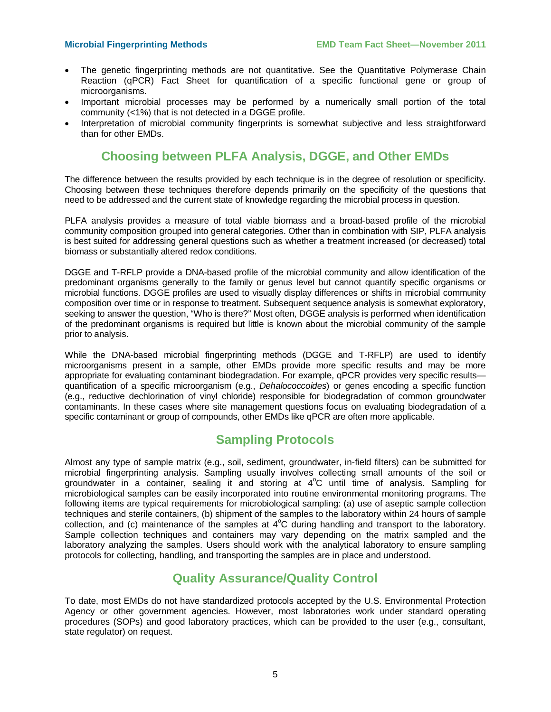- The genetic fingerprinting methods are not quantitative. See the Quantitative Polymerase Chain Reaction (qPCR) Fact Sheet for quantification of a specific functional gene or group of microorganisms.
- Important microbial processes may be performed by a numerically small portion of the total community (<1%) that is not detected in a DGGE profile.
- Interpretation of microbial community fingerprints is somewhat subjective and less straightforward than for other EMDs.

## **Choosing between PLFA Analysis, DGGE, and Other EMDs**

The difference between the results provided by each technique is in the degree of resolution or specificity. Choosing between these techniques therefore depends primarily on the specificity of the questions that need to be addressed and the current state of knowledge regarding the microbial process in question.

PLFA analysis provides a measure of total viable biomass and a broad-based profile of the microbial community composition grouped into general categories. Other than in combination with SIP, PLFA analysis is best suited for addressing general questions such as whether a treatment increased (or decreased) total biomass or substantially altered redox conditions.

DGGE and T-RFLP provide a DNA-based profile of the microbial community and allow identification of the predominant organisms generally to the family or genus level but cannot quantify specific organisms or microbial functions. DGGE profiles are used to visually display differences or shifts in microbial community composition over time or in response to treatment. Subsequent sequence analysis is somewhat exploratory, seeking to answer the question, "Who is there?" Most often, DGGE analysis is performed when identification of the predominant organisms is required but little is known about the microbial community of the sample prior to analysis.

While the DNA-based microbial fingerprinting methods (DGGE and T-RFLP) are used to identify microorganisms present in a sample, other EMDs provide more specific results and may be more appropriate for evaluating contaminant biodegradation. For example, qPCR provides very specific results quantification of a specific microorganism (e.g., *Dehalococcoides*) or genes encoding a specific function (e.g., reductive dechlorination of vinyl chloride) responsible for biodegradation of common groundwater contaminants. In these cases where site management questions focus on evaluating biodegradation of a specific contaminant or group of compounds, other EMDs like qPCR are often more applicable.

## **Sampling Protocols**

Almost any type of sample matrix (e.g., soil, sediment, groundwater, in-field filters) can be submitted for microbial fingerprinting analysis. Sampling usually involves collecting small amounts of the soil or groundwater in a container, sealing it and storing at  $4^{\circ}$ C until time of analysis. Sampling for microbiological samples can be easily incorporated into routine environmental monitoring programs. The following items are typical requirements for microbiological sampling: (a) use of aseptic sample collection techniques and sterile containers, (b) shipment of the samples to the laboratory within 24 hours of sample collection, and (c) maintenance of the samples at  $4^{\circ}$ C during handling and transport to the laboratory. Sample collection techniques and containers may vary depending on the matrix sampled and the laboratory analyzing the samples. Users should work with the analytical laboratory to ensure sampling protocols for collecting, handling, and transporting the samples are in place and understood.

## **Quality Assurance/Quality Control**

To date, most EMDs do not have standardized protocols accepted by the U.S. Environmental Protection Agency or other government agencies. However, most laboratories work under standard operating procedures (SOPs) and good laboratory practices, which can be provided to the user (e.g., consultant, state regulator) on request.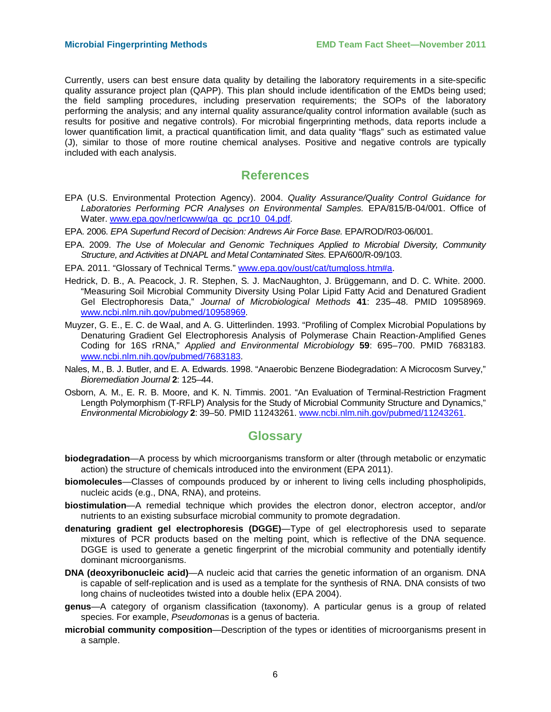Currently, users can best ensure data quality by detailing the laboratory requirements in a site-specific quality assurance project plan (QAPP). This plan should include identification of the EMDs being used; the field sampling procedures, including preservation requirements; the SOPs of the laboratory performing the analysis; and any internal quality assurance/quality control information available (such as results for positive and negative controls). For microbial fingerprinting methods, data reports include a lower quantification limit, a practical quantification limit, and data quality "flags" such as estimated value (J), similar to those of more routine chemical analyses. Positive and negative controls are typically included with each analysis.

### **References**

- EPA (U.S. Environmental Protection Agency). 2004. *Quality Assurance/Quality Control Guidance for Laboratories Performing PCR Analyses on Environmental Samples.* EPA/815/B-04/001. Office of Water. www.epa.gov/nerlcwww/qa\_qc\_pcr10\_04.pdf.
- EPA. 2006. *EPA Superfund Record of Decision: Andrews Air Force Base.* EPA/ROD/R03-06/001.
- EPA. 2009. *The Use of Molecular and Genomic Techniques Applied to Microbial Diversity, Community Structure, and Activities at DNAPL and Metal Contaminated Sites.* EPA/600/R-09/103.
- EPA. 2011. "Glossary of Technical Terms." www.epa.gov/oust/cat/tumgloss.htm#a.
- Hedrick, D. B., A. Peacock, J. R. Stephen, S. J. MacNaughton, J. Brüggemann, and D. C. White. 2000. "Measuring Soil Microbial Community Diversity Using Polar Lipid Fatty Acid and Denatured Gradient Gel Electrophoresis Data," *Journal of Microbiological Methods* **41**: 235–48. PMID 10958969. www.ncbi.nlm.nih.gov/pubmed/10958969.
- Muyzer, G. E., E. C. de Waal, and A. G. Uitterlinden. 1993. "Profiling of Complex Microbial Populations by Denaturing Gradient Gel Electrophoresis Analysis of Polymerase Chain Reaction-Amplified Genes Coding for 16S rRNA," *Applied and Environmental Microbiology* **59**: 695–700. PMID 7683183. www.ncbi.nlm.nih.gov/pubmed/7683183.
- Nales, M., B. J. Butler, and E. A. Edwards. 1998. "Anaerobic Benzene Biodegradation: A Microcosm Survey," *Bioremediation Journal* **2**: 125–44.
- Osborn, A. M., E. R. B. Moore, and K. N. Timmis. 2001. "An Evaluation of Terminal-Restriction Fragment Length Polymorphism (T-RFLP) Analysis for the Study of Microbial Community Structure and Dynamics," *Environmental Microbiology* **2**: 39–50. PMID 11243261. www.ncbi.nlm.nih.gov/pubmed/11243261.

### **Glossary**

- **biodegradation**—A process by which microorganisms transform or alter (through metabolic or enzymatic action) the structure of chemicals introduced into the environment (EPA 2011).
- **biomolecules**—Classes of compounds produced by or inherent to living cells including phospholipids, nucleic acids (e.g., DNA, RNA), and proteins.
- **biostimulation**—A remedial technique which provides the electron donor, electron acceptor, and/or nutrients to an existing subsurface microbial community to promote degradation.
- **denaturing gradient gel electrophoresis (DGGE)**—Type of gel electrophoresis used to separate mixtures of PCR products based on the melting point, which is reflective of the DNA sequence. DGGE is used to generate a genetic fingerprint of the microbial community and potentially identify dominant microorganisms.
- **DNA (deoxyribonucleic acid)**—A nucleic acid that carries the genetic information of an organism. DNA is capable of self-replication and is used as a template for the synthesis of RNA. DNA consists of two long chains of nucleotides twisted into a double helix (EPA 2004).
- **genus**—A category of organism classification (taxonomy). A particular genus is a group of related species. For example, *Pseudomonas* is a genus of bacteria.
- **microbial community composition**—Description of the types or identities of microorganisms present in a sample.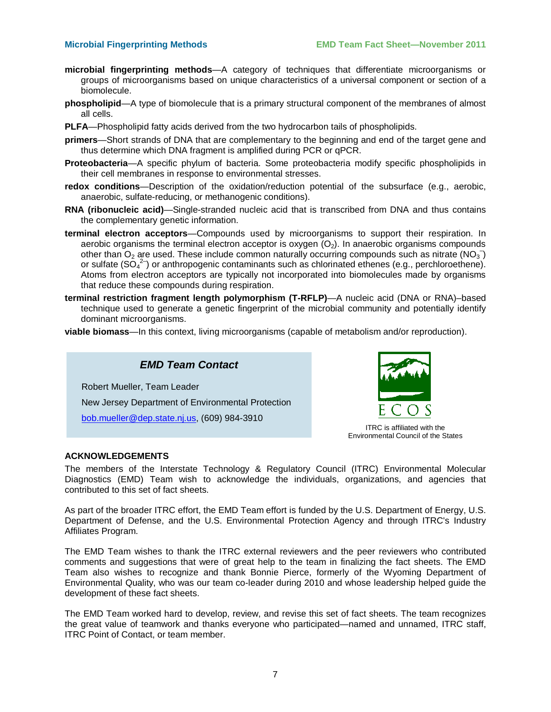- **microbial fingerprinting methods**—A category of techniques that differentiate microorganisms or groups of microorganisms based on unique characteristics of a universal component or section of a biomolecule.
- **phospholipid**—A type of biomolecule that is a primary structural component of the membranes of almost all cells.
- **PLFA**—Phospholipid fatty acids derived from the two hydrocarbon tails of phospholipids.
- **primers**—Short strands of DNA that are complementary to the beginning and end of the target gene and thus determine which DNA fragment is amplified during PCR or qPCR.
- **Proteobacteria**—A specific phylum of bacteria. Some proteobacteria modify specific phospholipids in their cell membranes in response to environmental stresses.
- **redox conditions**—Description of the oxidation/reduction potential of the subsurface (e.g., aerobic, anaerobic, sulfate-reducing, or methanogenic conditions).
- **RNA (ribonucleic acid)**—Single-stranded nucleic acid that is transcribed from DNA and thus contains the complementary genetic information.
- **terminal electron acceptors**—Compounds used by microorganisms to support their respiration. In aerobic organisms the terminal electron acceptor is oxygen  $(O<sub>2</sub>)$ . In anaerobic organisms compounds other than  $O_2$  are used. These include common naturally occurring compounds such as nitrate (NO<sub>3</sub><sup>-</sup>) or sulfate (SO<sub>4</sub><sup>2-</sup>) or anthropogenic contaminants such as chlorinated ethenes (e.g., perchloroethene). Atoms from electron acceptors are typically not incorporated into biomolecules made by organisms that reduce these compounds during respiration.
- **terminal restriction fragment length polymorphism (T-RFLP)**—A nucleic acid (DNA or RNA)–based technique used to generate a genetic fingerprint of the microbial community and potentially identify dominant microorganisms.

**viable biomass**—In this context, living microorganisms (capable of metabolism and/or reproduction).

# *EMD Team Contact* Robert Mueller, Team Leader New Jersey Department of Environmental Protection bob.mueller@dep.state.nj.us, (609) 984-3910



ITRC is affiliated with the Environmental Council of the States

### **ACKNOWLEDGEMENTS**

The members of the Interstate Technology & Regulatory Council (ITRC) Environmental Molecular Diagnostics (EMD) Team wish to acknowledge the individuals, organizations, and agencies that contributed to this set of fact sheets.

As part of the broader ITRC effort, the EMD Team effort is funded by the U.S. Department of Energy, U.S. Department of Defense, and the U.S. Environmental Protection Agency and through ITRC's Industry Affiliates Program.

The EMD Team wishes to thank the ITRC external reviewers and the peer reviewers who contributed comments and suggestions that were of great help to the team in finalizing the fact sheets. The EMD Team also wishes to recognize and thank Bonnie Pierce, formerly of the Wyoming Department of Environmental Quality, who was our team co-leader during 2010 and whose leadership helped guide the development of these fact sheets.

The EMD Team worked hard to develop, review, and revise this set of fact sheets. The team recognizes the great value of teamwork and thanks everyone who participated—named and unnamed, ITRC staff, ITRC Point of Contact, or team member.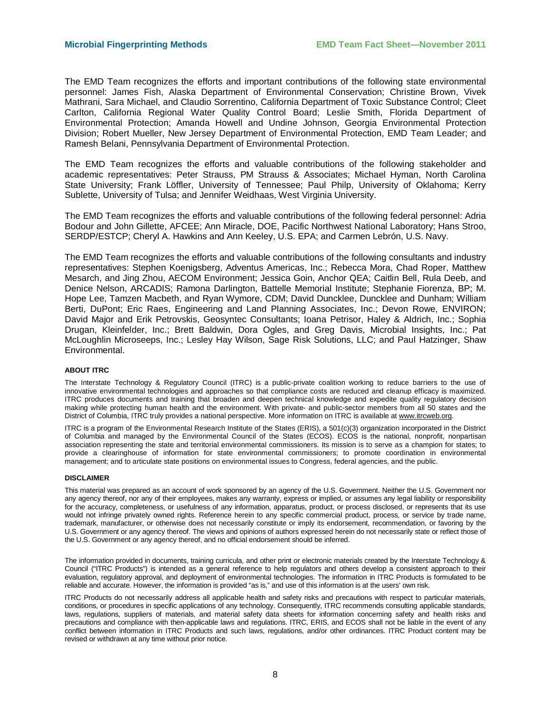The EMD Team recognizes the efforts and important contributions of the following state environmental personnel: James Fish, Alaska Department of Environmental Conservation; Christine Brown, Vivek Mathrani, Sara Michael, and Claudio Sorrentino, California Department of Toxic Substance Control; Cleet Carlton, California Regional Water Quality Control Board; Leslie Smith, Florida Department of Environmental Protection; Amanda Howell and Undine Johnson, Georgia Environmental Protection Division; Robert Mueller, New Jersey Department of Environmental Protection, EMD Team Leader; and Ramesh Belani, Pennsylvania Department of Environmental Protection.

The EMD Team recognizes the efforts and valuable contributions of the following stakeholder and academic representatives: Peter Strauss, PM Strauss & Associates; Michael Hyman, North Carolina State University; Frank Löffler, University of Tennessee; Paul Philp, University of Oklahoma; Kerry Sublette, University of Tulsa; and Jennifer Weidhaas, West Virginia University.

The EMD Team recognizes the efforts and valuable contributions of the following federal personnel: Adria Bodour and John Gillette, AFCEE; Ann Miracle, DOE, Pacific Northwest National Laboratory; Hans Stroo, SERDP/ESTCP; Cheryl A. Hawkins and Ann Keeley, U.S. EPA; and Carmen Lebrón, U.S. Navy.

The EMD Team recognizes the efforts and valuable contributions of the following consultants and industry representatives: Stephen Koenigsberg, Adventus Americas, Inc.; Rebecca Mora, Chad Roper, Matthew Mesarch, and Jing Zhou, AECOM Environment; Jessica Goin, Anchor QEA; Caitlin Bell, Rula Deeb, and Denice Nelson, ARCADIS; Ramona Darlington, Battelle Memorial Institute; Stephanie Fiorenza, BP; M. Hope Lee, Tamzen Macbeth, and Ryan Wymore, CDM; David Duncklee, Duncklee and Dunham; William Berti, DuPont; Eric Raes, Engineering and Land Planning Associates, Inc.; Devon Rowe, ENVIRON; David Major and Erik Petrovskis, Geosyntec Consultants; Ioana Petrisor, Haley & Aldrich, Inc.; Sophia Drugan, Kleinfelder, Inc.; Brett Baldwin, Dora Ogles, and Greg Davis, Microbial Insights, Inc.; Pat McLoughlin Microseeps, Inc.; Lesley Hay Wilson, Sage Risk Solutions, LLC; and Paul Hatzinger, Shaw Environmental.

### **ABOUT ITRC**

The Interstate Technology & Regulatory Council (ITRC) is a public-private coalition working to reduce barriers to the use of innovative environmental technologies and approaches so that compliance costs are reduced and cleanup efficacy is maximized. ITRC produces documents and training that broaden and deepen technical knowledge and expedite quality regulatory decision making while protecting human health and the environment. With private- and public-sector members from all 50 states and the District of Columbia, ITRC truly provides a national perspective. More information on ITRC is available at www.itrcweb.org.

ITRC is a program of the Environmental Research Institute of the States (ERIS), a 501(c)(3) organization incorporated in the District of Columbia and managed by the Environmental Council of the States (ECOS). ECOS is the national, nonprofit, nonpartisan association representing the state and territorial environmental commissioners. Its mission is to serve as a champion for states; to provide a clearinghouse of information for state environmental commissioners; to promote coordination in environmental management; and to articulate state positions on environmental issues to Congress, federal agencies, and the public.

### **DISCLAIMER**

This material was prepared as an account of work sponsored by an agency of the U.S. Government. Neither the U.S. Government nor any agency thereof, nor any of their employees, makes any warranty, express or implied, or assumes any legal liability or responsibility for the accuracy, completeness, or usefulness of any information, apparatus, product, or process disclosed, or represents that its use would not infringe privately owned rights. Reference herein to any specific commercial product, process, or service by trade name, trademark, manufacturer, or otherwise does not necessarily constitute or imply its endorsement, recommendation, or favoring by the U.S. Government or any agency thereof. The views and opinions of authors expressed herein do not necessarily state or reflect those of the U.S. Government or any agency thereof, and no official endorsement should be inferred.

The information provided in documents, training curricula, and other print or electronic materials created by the Interstate Technology & Council ("ITRC Products") is intended as a general reference to help regulators and others develop a consistent approach to their evaluation, regulatory approval, and deployment of environmental technologies. The information in ITRC Products is formulated to be reliable and accurate. However, the information is provided "as is," and use of this information is at the users' own risk.

ITRC Products do not necessarily address all applicable health and safety risks and precautions with respect to particular materials, conditions, or procedures in specific applications of any technology. Consequently, ITRC recommends consulting applicable standards, laws, regulations, suppliers of materials, and material safety data sheets for information concerning safety and health risks and precautions and compliance with then-applicable laws and regulations. ITRC, ERIS, and ECOS shall not be liable in the event of any conflict between information in ITRC Products and such laws, regulations, and/or other ordinances. ITRC Product content may be revised or withdrawn at any time without prior notice.